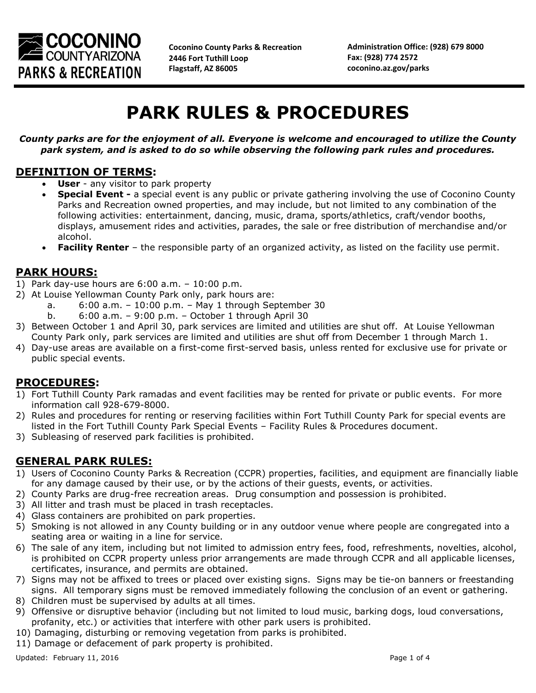

**Coconino County Parks & Recreation 2446 Fort Tuthill Loop Flagstaff, AZ 86005**

**Administration Office: (928) 679 8000 Fax: (928) 774 2572 coconino.az.gov/parks**

# **PARK RULES & PROCEDURES**

*County parks are for the enjoyment of all. Everyone is welcome and encouraged to utilize the County park system, and is asked to do so while observing the following park rules and procedures.*

#### **DEFINITION OF TERMS:**

- **User**  any visitor to park property
- **Special Event -** a special event is any public or private gathering involving the use of Coconino County Parks and Recreation owned properties, and may include, but not limited to any combination of the following activities: entertainment, dancing, music, drama, sports/athletics, craft/vendor booths, displays, amusement rides and activities, parades, the sale or free distribution of merchandise and/or alcohol.
- **Facility Renter** the responsible party of an organized activity, as listed on the facility use permit.

#### **PARK HOURS:**

- 1) Park day-use hours are 6:00 a.m. 10:00 p.m.
- 2) At Louise Yellowman County Park only, park hours are:
	- a. 6:00 a.m. 10:00 p.m. May 1 through September 30
	- b. 6:00 a.m. 9:00 p.m. October 1 through April 30
- 3) Between October 1 and April 30, park services are limited and utilities are shut off. At Louise Yellowman County Park only, park services are limited and utilities are shut off from December 1 through March 1.
- 4) Day-use areas are available on a first-come first-served basis, unless rented for exclusive use for private or public special events.

#### **PROCEDURES:**

- 1) Fort Tuthill County Park ramadas and event facilities may be rented for private or public events. For more information call 928-679-8000.
- 2) Rules and procedures for renting or reserving facilities within Fort Tuthill County Park for special events are listed in the Fort Tuthill County Park Special Events – Facility Rules & Procedures document.
- 3) Subleasing of reserved park facilities is prohibited.

## **GENERAL PARK RULES:**

- 1) Users of Coconino County Parks & Recreation (CCPR) properties, facilities, and equipment are financially liable for any damage caused by their use, or by the actions of their guests, events, or activities.
- 2) County Parks are drug-free recreation areas. Drug consumption and possession is prohibited.
- 3) All litter and trash must be placed in trash receptacles.
- 4) Glass containers are prohibited on park properties.
- 5) Smoking is not allowed in any County building or in any outdoor venue where people are congregated into a seating area or waiting in a line for service.
- 6) The sale of any item, including but not limited to admission entry fees, food, refreshments, novelties, alcohol, is prohibited on CCPR property unless prior arrangements are made through CCPR and all applicable licenses, certificates, insurance, and permits are obtained.
- 7) Signs may not be affixed to trees or placed over existing signs. Signs may be tie-on banners or freestanding signs. All temporary signs must be removed immediately following the conclusion of an event or gathering.
- 8) Children must be supervised by adults at all times.
- 9) Offensive or disruptive behavior (including but not limited to loud music, barking dogs, loud conversations, profanity, etc.) or activities that interfere with other park users is prohibited.
- 10) Damaging, disturbing or removing vegetation from parks is prohibited.
- 11) Damage or defacement of park property is prohibited.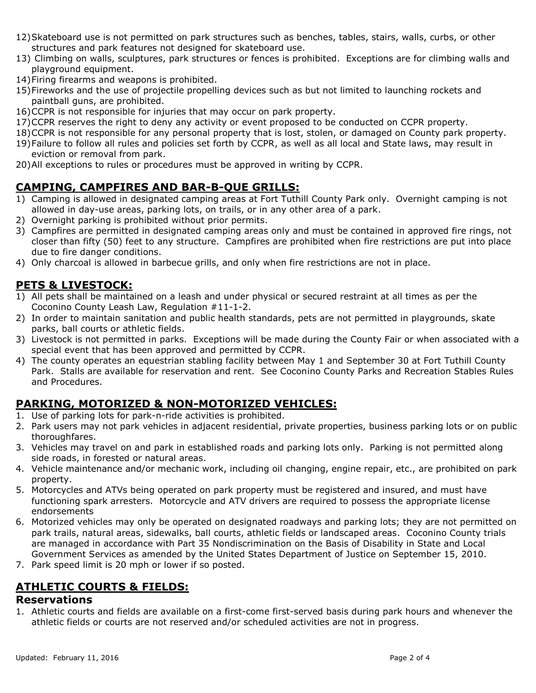- 12)Skateboard use is not permitted on park structures such as benches, tables, stairs, walls, curbs, or other structures and park features not designed for skateboard use.
- 13) Climbing on walls, sculptures, park structures or fences is prohibited. Exceptions are for climbing walls and playground equipment.
- 14)Firing firearms and weapons is prohibited.
- 15)Fireworks and the use of projectile propelling devices such as but not limited to launching rockets and paintball guns, are prohibited.
- 16)CCPR is not responsible for injuries that may occur on park property.
- 17)CCPR reserves the right to deny any activity or event proposed to be conducted on CCPR property.
- 18)CCPR is not responsible for any personal property that is lost, stolen, or damaged on County park property.
- 19)Failure to follow all rules and policies set forth by CCPR, as well as all local and State laws, may result in eviction or removal from park.
- 20)All exceptions to rules or procedures must be approved in writing by CCPR.

# **CAMPING, CAMPFIRES AND BAR-B-QUE GRILLS:**

- 1) Camping is allowed in designated camping areas at Fort Tuthill County Park only. Overnight camping is not allowed in day-use areas, parking lots, on trails, or in any other area of a park.
- 2) Overnight parking is prohibited without prior permits.
- 3) Campfires are permitted in designated camping areas only and must be contained in approved fire rings, not closer than fifty (50) feet to any structure. Campfires are prohibited when fire restrictions are put into place due to fire danger conditions.
- 4) Only charcoal is allowed in barbecue grills, and only when fire restrictions are not in place.

# **PETS & LIVESTOCK:**

- 1) All pets shall be maintained on a leash and under physical or secured restraint at all times as per the Coconino County Leash Law, Regulation #11-1-2.
- 2) In order to maintain sanitation and public health standards, pets are not permitted in playgrounds, skate parks, ball courts or athletic fields.
- 3) Livestock is not permitted in parks. Exceptions will be made during the County Fair or when associated with a special event that has been approved and permitted by CCPR.
- 4) The county operates an equestrian stabling facility between May 1 and September 30 at Fort Tuthill County Park. Stalls are available for reservation and rent. See Coconino County Parks and Recreation Stables Rules and Procedures.

## **PARKING, MOTORIZED & NON-MOTORIZED VEHICLES:**

- 1. Use of parking lots for park-n-ride activities is prohibited.
- 2. Park users may not park vehicles in adjacent residential, private properties, business parking lots or on public thoroughfares.
- 3. Vehicles may travel on and park in established roads and parking lots only. Parking is not permitted along side roads, in forested or natural areas.
- 4. Vehicle maintenance and/or mechanic work, including oil changing, engine repair, etc., are prohibited on park property.
- 5. Motorcycles and ATVs being operated on park property must be registered and insured, and must have functioning spark arresters. Motorcycle and ATV drivers are required to possess the appropriate license endorsements
- 6. Motorized vehicles may only be operated on designated roadways and parking lots; they are not permitted on park trails, natural areas, sidewalks, ball courts, athletic fields or landscaped areas. Coconino County trials are managed in accordance with Part 35 Nondiscrimination on the Basis of Disability in State and Local Government Services as amended by the United States Department of Justice on September 15, 2010.
- 7. Park speed limit is 20 mph or lower if so posted.

## **ATHLETIC COURTS & FIELDS:**

#### **Reservations**

1. Athletic courts and fields are available on a first-come first-served basis during park hours and whenever the athletic fields or courts are not reserved and/or scheduled activities are not in progress.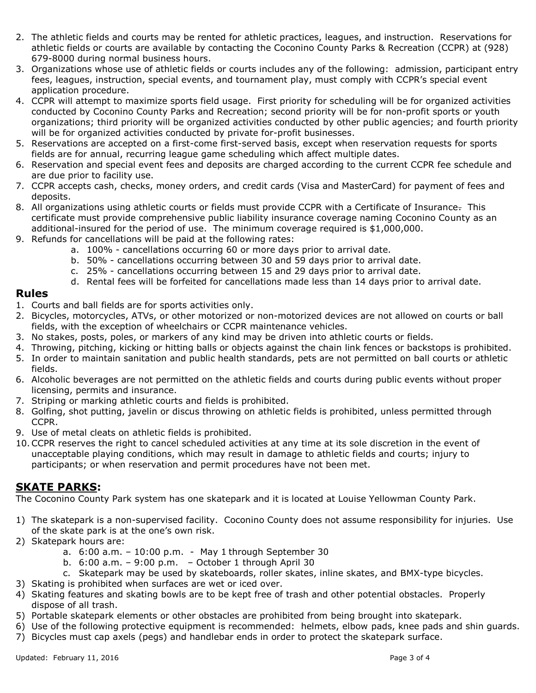- 2. The athletic fields and courts may be rented for athletic practices, leagues, and instruction. Reservations for athletic fields or courts are available by contacting the Coconino County Parks & Recreation (CCPR) at (928) 679-8000 during normal business hours.
- 3. Organizations whose use of athletic fields or courts includes any of the following: admission, participant entry fees, leagues, instruction, special events, and tournament play, must comply with CCPR's special event application procedure.
- 4. CCPR will attempt to maximize sports field usage. First priority for scheduling will be for organized activities conducted by Coconino County Parks and Recreation; second priority will be for non-profit sports or youth organizations; third priority will be organized activities conducted by other public agencies; and fourth priority will be for organized activities conducted by private for-profit businesses.
- 5. Reservations are accepted on a first-come first-served basis, except when reservation requests for sports fields are for annual, recurring league game scheduling which affect multiple dates.
- 6. Reservation and special event fees and deposits are charged according to the current CCPR fee schedule and are due prior to facility use.
- 7. CCPR accepts cash, checks, money orders, and credit cards (Visa and MasterCard) for payment of fees and deposits.
- 8. All organizations using athletic courts or fields must provide CCPR with a Certificate of Insurance. This certificate must provide comprehensive public liability insurance coverage naming Coconino County as an additional-insured for the period of use. The minimum coverage required is \$1,000,000.
- 9. Refunds for cancellations will be paid at the following rates:
	- a. 100% cancellations occurring 60 or more days prior to arrival date.
	- b. 50% cancellations occurring between 30 and 59 days prior to arrival date.
	- c. 25% cancellations occurring between 15 and 29 days prior to arrival date.
	- d. Rental fees will be forfeited for cancellations made less than 14 days prior to arrival date.

#### **Rules**

- 1. Courts and ball fields are for sports activities only.
- 2. Bicycles, motorcycles, ATVs, or other motorized or non-motorized devices are not allowed on courts or ball fields, with the exception of wheelchairs or CCPR maintenance vehicles.
- 3. No stakes, posts, poles, or markers of any kind may be driven into athletic courts or fields.
- 4. Throwing, pitching, kicking or hitting balls or objects against the chain link fences or backstops is prohibited.
- 5. In order to maintain sanitation and public health standards, pets are not permitted on ball courts or athletic fields.
- 6. Alcoholic beverages are not permitted on the athletic fields and courts during public events without proper licensing, permits and insurance.
- 7. Striping or marking athletic courts and fields is prohibited.
- 8. Golfing, shot putting, javelin or discus throwing on athletic fields is prohibited, unless permitted through CCPR.
- 9. Use of metal cleats on athletic fields is prohibited.
- 10.CCPR reserves the right to cancel scheduled activities at any time at its sole discretion in the event of unacceptable playing conditions, which may result in damage to athletic fields and courts; injury to participants; or when reservation and permit procedures have not been met.

## **SKATE PARKS:**

The Coconino County Park system has one skatepark and it is located at Louise Yellowman County Park.

- 1) The skatepark is a non-supervised facility. Coconino County does not assume responsibility for injuries. Use of the skate park is at the one's own risk.
- 2) Skatepark hours are:
	- a. 6:00 a.m. 10:00 p.m. May 1 through September 30
	- b. 6:00 a.m. 9:00 p.m. October 1 through April 30
	- c. Skatepark may be used by skateboards, roller skates, inline skates, and BMX-type bicycles.
- 3) Skating is prohibited when surfaces are wet or iced over.
- 4) Skating features and skating bowls are to be kept free of trash and other potential obstacles. Properly dispose of all trash.
- 5) Portable skatepark elements or other obstacles are prohibited from being brought into skatepark.
- 6) Use of the following protective equipment is recommended: helmets, elbow pads, knee pads and shin guards.
- 7) Bicycles must cap axels (pegs) and handlebar ends in order to protect the skatepark surface.